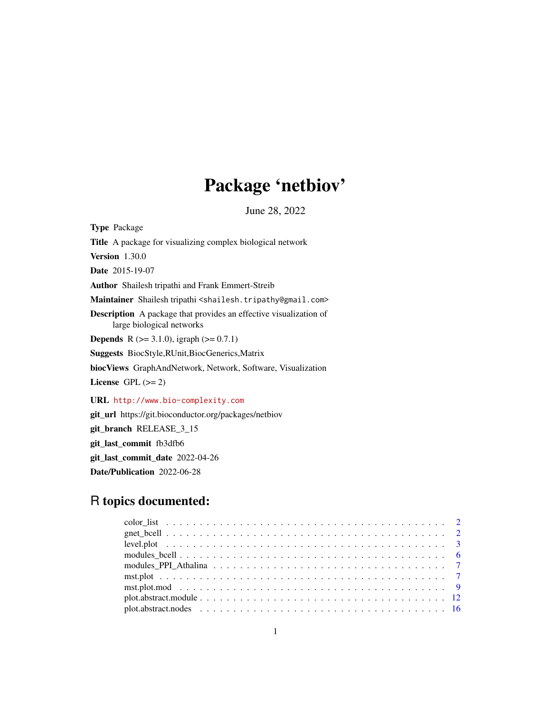# Package 'netbiov'

June 28, 2022

Type Package Title A package for visualizing complex biological network Version 1.30.0 Date 2015-19-07 Author Shailesh tripathi and Frank Emmert-Streib Maintainer Shailesh tripathi <shailesh.tripathy@gmail.com> Description A package that provides an effective visualization of large biological networks **Depends** R ( $>= 3.1.0$ ), igraph ( $>= 0.7.1$ ) Suggests BiocStyle,RUnit,BiocGenerics,Matrix biocViews GraphAndNetwork, Network, Software, Visualization License GPL  $(>= 2)$ URL <http://www.bio-complexity.com> git\_url https://git.bioconductor.org/packages/netbiov git\_branch RELEASE\_3\_15 git\_last\_commit fb3dfb6

git\_last\_commit\_date 2022-04-26

Date/Publication 2022-06-28

## R topics documented: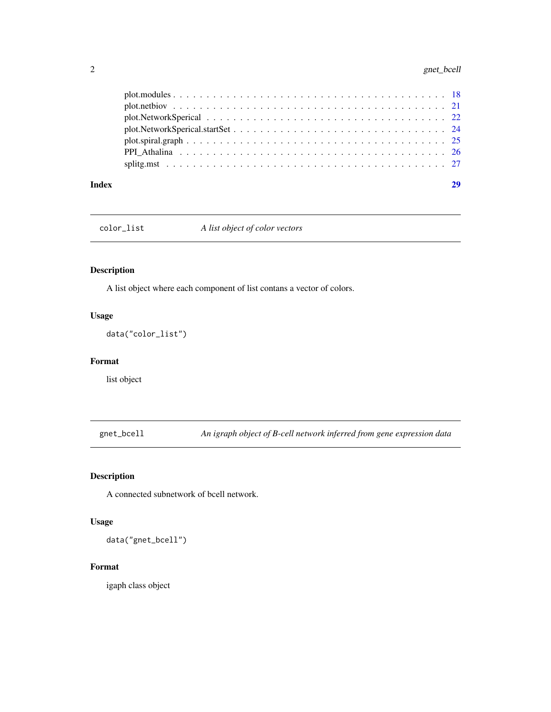<span id="page-1-0"></span>

| Index |  |
|-------|--|
|       |  |
|       |  |
|       |  |
|       |  |
|       |  |
|       |  |
|       |  |

color\_list *A list object of color vectors*

#### Description

A list object where each component of list contans a vector of colors.

#### Usage

data("color\_list")

#### Format

list object

gnet\_bcell *An igraph object of B-cell network inferred from gene expression data*

#### Description

A connected subnetwork of bcell network.

#### Usage

data("gnet\_bcell")

#### Format

igaph class object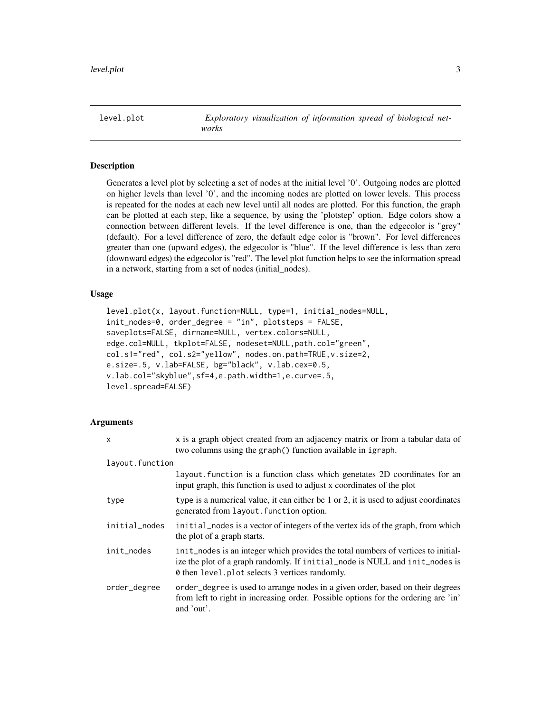<span id="page-2-0"></span>level.plot *Exploratory visualization of information spread of biological networks*

#### **Description**

Generates a level plot by selecting a set of nodes at the initial level '0'. Outgoing nodes are plotted on higher levels than level '0', and the incoming nodes are plotted on lower levels. This process is repeated for the nodes at each new level until all nodes are plotted. For this function, the graph can be plotted at each step, like a sequence, by using the 'plotstep' option. Edge colors show a connection between different levels. If the level difference is one, than the edgecolor is "grey" (default). For a level difference of zero, the default edge color is "brown". For level differences greater than one (upward edges), the edgecolor is "blue". If the level difference is less than zero (downward edges) the edgecolor is "red". The level plot function helps to see the information spread in a network, starting from a set of nodes (initial\_nodes).

#### Usage

```
level.plot(x, layout.function=NULL, type=1, initial_nodes=NULL,
init_nodes=0, order_degree = "in", plotsteps = FALSE,
saveplots=FALSE, dirname=NULL, vertex.colors=NULL,
edge.col=NULL, tkplot=FALSE, nodeset=NULL,path.col="green",
col.s1="red", col.s2="yellow", nodes.on.path=TRUE,v.size=2,
e.size=.5, v.lab=FALSE, bg="black", v.lab.cex=0.5,
v.lab.col="skyblue",sf=4,e.path.width=1,e.curve=.5,
level.spread=FALSE)
```

| $\mathsf{x}$    | x is a graph object created from an adjacency matrix or from a tabular data of<br>two columns using the graph() function available in igraph.                                                                      |
|-----------------|--------------------------------------------------------------------------------------------------------------------------------------------------------------------------------------------------------------------|
| layout.function |                                                                                                                                                                                                                    |
|                 | layout function is a function class which genetates 2D coordinates for an<br>input graph, this function is used to adjust x coordinates of the plot                                                                |
| type            | type is a numerical value, it can either be 1 or 2, it is used to adjust coordinates<br>generated from layout. function option.                                                                                    |
| initial_nodes   | initial_nodes is a vector of integers of the vertex ids of the graph, from which<br>the plot of a graph starts.                                                                                                    |
| init_nodes      | init_nodes is an integer which provides the total numbers of vertices to initial-<br>ize the plot of a graph randomly. If initial_node is NULL and init_nodes is<br>0 then level plot selects 3 vertices randomly. |
| order_degree    | order_degree is used to arrange nodes in a given order, based on their degrees<br>from left to right in increasing order. Possible options for the ordering are 'in'<br>and 'out'.                                 |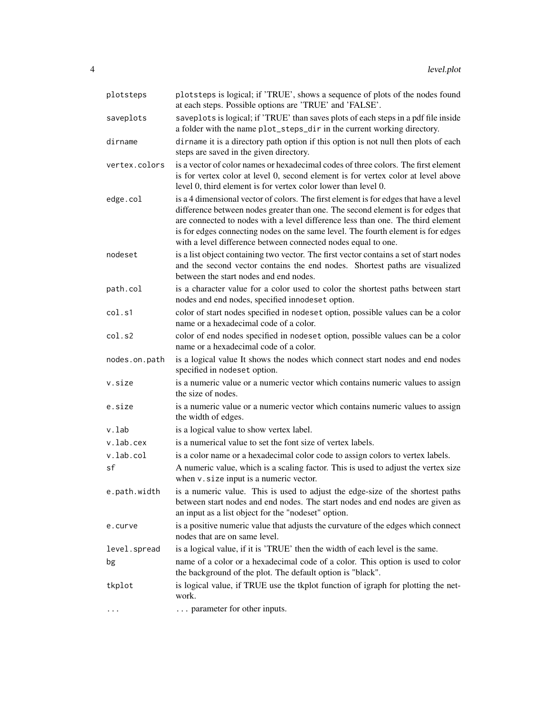| plotsteps     | plotsteps is logical; if 'TRUE', shows a sequence of plots of the nodes found<br>at each steps. Possible options are 'TRUE' and 'FALSE'.                                                                                                                                                                                                                                                                         |
|---------------|------------------------------------------------------------------------------------------------------------------------------------------------------------------------------------------------------------------------------------------------------------------------------------------------------------------------------------------------------------------------------------------------------------------|
| saveplots     | saveplots is logical; if 'TRUE' than saves plots of each steps in a pdf file inside<br>a folder with the name plot_steps_dir in the current working directory.                                                                                                                                                                                                                                                   |
| dirname       | dirname it is a directory path option if this option is not null then plots of each<br>steps are saved in the given directory.                                                                                                                                                                                                                                                                                   |
| vertex.colors | is a vector of color names or hexadecimal codes of three colors. The first element<br>is for vertex color at level 0, second element is for vertex color at level above<br>level 0, third element is for vertex color lower than level 0.                                                                                                                                                                        |
| edge.col      | is a 4 dimensional vector of colors. The first element is for edges that have a level<br>difference between nodes greater than one. The second element is for edges that<br>are connected to nodes with a level difference less than one. The third element<br>is for edges connecting nodes on the same level. The fourth element is for edges<br>with a level difference between connected nodes equal to one. |
| nodeset       | is a list object containing two vector. The first vector contains a set of start nodes<br>and the second vector contains the end nodes. Shortest paths are visualized<br>between the start nodes and end nodes.                                                                                                                                                                                                  |
| path.col      | is a character value for a color used to color the shortest paths between start<br>nodes and end nodes, specified innodeset option.                                                                                                                                                                                                                                                                              |
| col.s1        | color of start nodes specified in nodeset option, possible values can be a color<br>name or a hexadecimal code of a color.                                                                                                                                                                                                                                                                                       |
| col.s2        | color of end nodes specified in nodeset option, possible values can be a color<br>name or a hexadecimal code of a color.                                                                                                                                                                                                                                                                                         |
| nodes.on.path | is a logical value It shows the nodes which connect start nodes and end nodes<br>specified in nodeset option.                                                                                                                                                                                                                                                                                                    |
| v.size        | is a numeric value or a numeric vector which contains numeric values to assign<br>the size of nodes.                                                                                                                                                                                                                                                                                                             |
| e.size        | is a numeric value or a numeric vector which contains numeric values to assign<br>the width of edges.                                                                                                                                                                                                                                                                                                            |
| v.lab         | is a logical value to show vertex label.                                                                                                                                                                                                                                                                                                                                                                         |
| v.lab.cex     | is a numerical value to set the font size of vertex labels.                                                                                                                                                                                                                                                                                                                                                      |
| v.lab.col     | is a color name or a hexadecimal color code to assign colors to vertex labels.                                                                                                                                                                                                                                                                                                                                   |
| sf            | A numeric value, which is a scaling factor. This is used to adjust the vertex size<br>when $v$ . size input is a numeric vector.                                                                                                                                                                                                                                                                                 |
| e.path.width  | is a numeric value. This is used to adjust the edge-size of the shortest paths<br>between start nodes and end nodes. The start nodes and end nodes are given as<br>an input as a list object for the "nodeset" option.                                                                                                                                                                                           |
| e.curve       | is a positive numeric value that adjusts the curvature of the edges which connect<br>nodes that are on same level.                                                                                                                                                                                                                                                                                               |
| level.spread  | is a logical value, if it is 'TRUE' then the width of each level is the same.                                                                                                                                                                                                                                                                                                                                    |
| bg            | name of a color or a hexadecimal code of a color. This option is used to color<br>the background of the plot. The default option is "black".                                                                                                                                                                                                                                                                     |
| tkplot        | is logical value, if TRUE use the tkplot function of igraph for plotting the net-<br>work.                                                                                                                                                                                                                                                                                                                       |
| .             | parameter for other inputs.                                                                                                                                                                                                                                                                                                                                                                                      |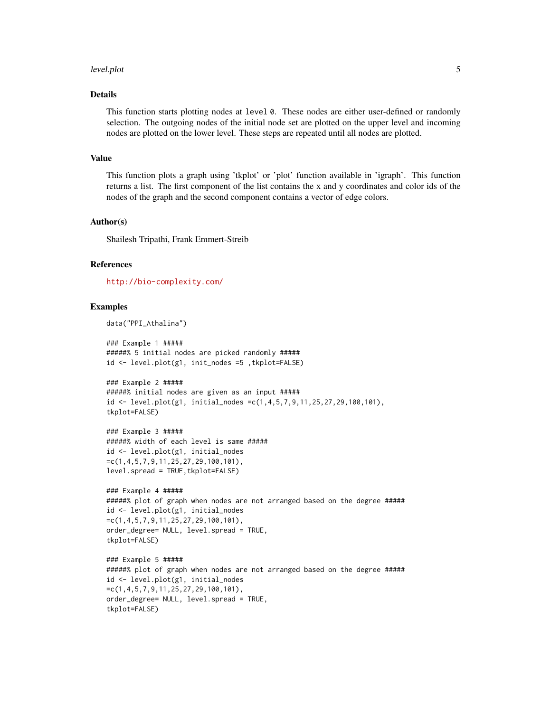#### level.plot 5

#### Details

This function starts plotting nodes at level 0. These nodes are either user-defined or randomly selection. The outgoing nodes of the initial node set are plotted on the upper level and incoming nodes are plotted on the lower level. These steps are repeated until all nodes are plotted.

#### Value

This function plots a graph using 'tkplot' or 'plot' function available in 'igraph'. This function returns a list. The first component of the list contains the x and y coordinates and color ids of the nodes of the graph and the second component contains a vector of edge colors.

#### Author(s)

Shailesh Tripathi, Frank Emmert-Streib

#### References

<http://bio-complexity.com/>

```
data("PPI_Athalina")
```

```
### Example 1 #####
#####% 5 initial nodes are picked randomly #####
id <- level.plot(g1, init_nodes =5 ,tkplot=FALSE)
```

```
### Example 2 #####
#####% initial nodes are given as an input #####
id <- level.plot(g1, initial_nodes =c(1,4,5,7,9,11,25,27,29,100,101),
tkplot=FALSE)
```

```
### Example 3 #####
#####% width of each level is same #####
id <- level.plot(g1, initial_nodes
=c(1,4,5,7,9,11,25,27,29,100,101),
level.spread = TRUE,tkplot=FALSE)
```

```
### Example 4 #####
#####% plot of graph when nodes are not arranged based on the degree #####
id <- level.plot(g1, initial_nodes
=c(1,4,5,7,9,11,25,27,29,100,101),
order_degree= NULL, level.spread = TRUE,
tkplot=FALSE)
```

```
### Example 5 #####
#####% plot of graph when nodes are not arranged based on the degree #####
id <- level.plot(g1, initial_nodes
=c(1,4,5,7,9,11,25,27,29,100,101),
order_degree= NULL, level.spread = TRUE,
tkplot=FALSE)
```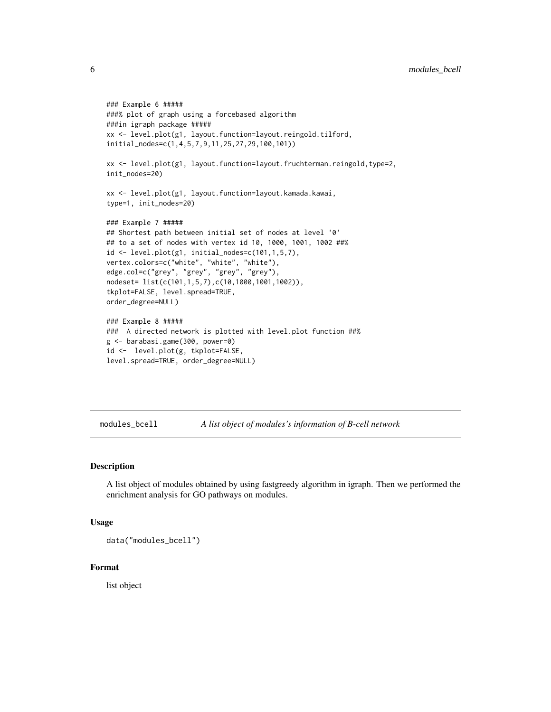```
### Example 6 #####
###% plot of graph using a forcebased algorithm
###in igraph package #####
xx <- level.plot(g1, layout.function=layout.reingold.tilford,
initial_nodes=c(1,4,5,7,9,11,25,27,29,100,101))
xx <- level.plot(g1, layout.function=layout.fruchterman.reingold,type=2,
init_nodes=20)
xx <- level.plot(g1, layout.function=layout.kamada.kawai,
type=1, init_nodes=20)
### Example 7 #####
## Shortest path between initial set of nodes at level '0'
## to a set of nodes with vertex id 10, 1000, 1001, 1002 ##%
id <- level.plot(g1, initial_nodes=c(101,1,5,7),
vertex.colors=c("white", "white", "white"),
edge.col=c("grey", "grey", "grey", "grey"),
nodeset= list(c(101,1,5,7),c(10,1000,1001,1002)),
tkplot=FALSE, level.spread=TRUE,
order_degree=NULL)
### Example 8 #####
### A directed network is plotted with level.plot function ##%
g <- barabasi.game(300, power=0)
id <- level.plot(g, tkplot=FALSE,
level.spread=TRUE, order_degree=NULL)
```
modules\_bcell *A list object of modules's information of B-cell network*

#### Description

A list object of modules obtained by using fastgreedy algorithm in igraph. Then we performed the enrichment analysis for GO pathways on modules.

#### Usage

```
data("modules_bcell")
```
#### Format

list object

<span id="page-5-0"></span>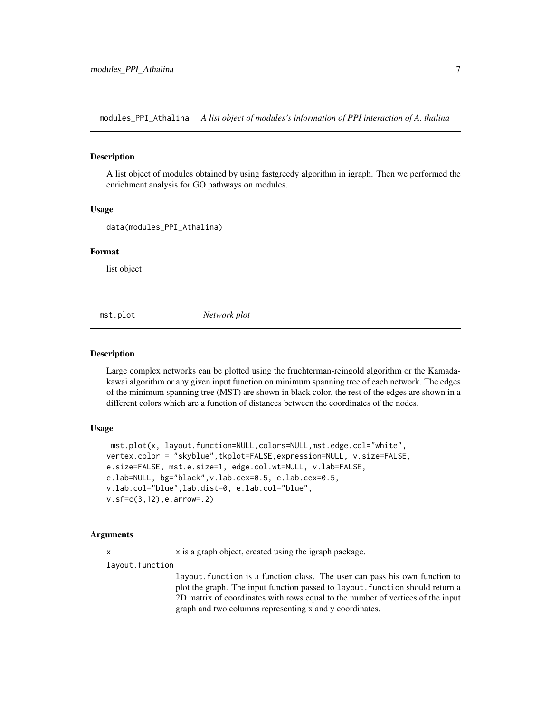<span id="page-6-0"></span>modules\_PPI\_Athalina *A list object of modules's information of PPI interaction of A. thalina*

#### Description

A list object of modules obtained by using fastgreedy algorithm in igraph. Then we performed the enrichment analysis for GO pathways on modules.

#### Usage

```
data(modules_PPI_Athalina)
```
#### Format

list object

mst.plot *Network plot*

#### **Description**

Large complex networks can be plotted using the fruchterman-reingold algorithm or the Kamadakawai algorithm or any given input function on minimum spanning tree of each network. The edges of the minimum spanning tree (MST) are shown in black color, the rest of the edges are shown in a different colors which are a function of distances between the coordinates of the nodes.

#### Usage

```
mst.plot(x, layout.function=NULL,colors=NULL,mst.edge.col="white",
vertex.color = "skyblue",tkplot=FALSE,expression=NULL, v.size=FALSE,
e.size=FALSE, mst.e.size=1, edge.col.wt=NULL, v.lab=FALSE,
e.lab=NULL, bg="black",v.lab.cex=0.5, e.lab.cex=0.5,
v.lab.col="blue",lab.dist=0, e.lab.col="blue",
v.sf=c(3,12),e.arrow=.2)
```
#### Arguments

x x is a graph object, created using the igraph package.

layout.function

layout.function is a function class. The user can pass his own function to plot the graph. The input function passed to layout. function should return a 2D matrix of coordinates with rows equal to the number of vertices of the input graph and two columns representing x and y coordinates.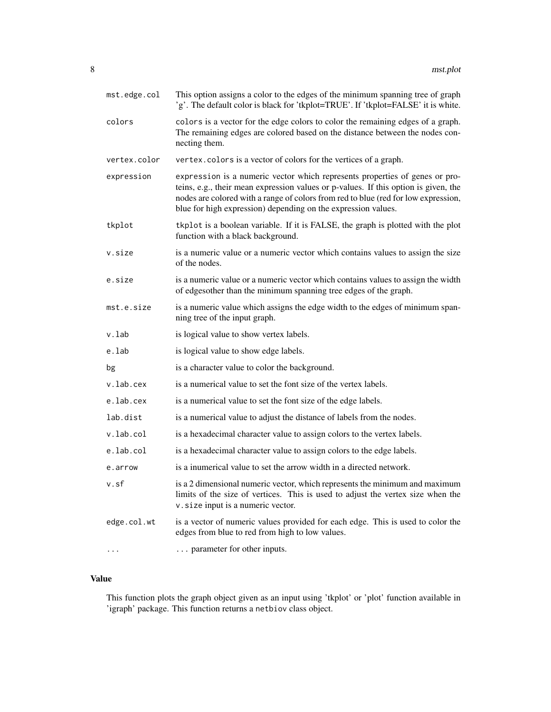| mst.edge.col | This option assigns a color to the edges of the minimum spanning tree of graph<br>'g'. The default color is black for 'tkplot=TRUE'. If 'tkplot=FALSE' it is white.                                                                                                                                                       |
|--------------|---------------------------------------------------------------------------------------------------------------------------------------------------------------------------------------------------------------------------------------------------------------------------------------------------------------------------|
| colors       | colors is a vector for the edge colors to color the remaining edges of a graph.<br>The remaining edges are colored based on the distance between the nodes con-<br>necting them.                                                                                                                                          |
| vertex.color | vertex.colors is a vector of colors for the vertices of a graph.                                                                                                                                                                                                                                                          |
| expression   | expression is a numeric vector which represents properties of genes or pro-<br>teins, e.g., their mean expression values or p-values. If this option is given, the<br>nodes are colored with a range of colors from red to blue (red for low expression,<br>blue for high expression) depending on the expression values. |
| tkplot       | tkplot is a boolean variable. If it is FALSE, the graph is plotted with the plot<br>function with a black background.                                                                                                                                                                                                     |
| v.size       | is a numeric value or a numeric vector which contains values to assign the size<br>of the nodes.                                                                                                                                                                                                                          |
| e.size       | is a numeric value or a numeric vector which contains values to assign the width<br>of edgesother than the minimum spanning tree edges of the graph.                                                                                                                                                                      |
| mst.e.size   | is a numeric value which assigns the edge width to the edges of minimum span-<br>ning tree of the input graph.                                                                                                                                                                                                            |
| v.lab        | is logical value to show vertex labels.                                                                                                                                                                                                                                                                                   |
| e.lab        | is logical value to show edge labels.                                                                                                                                                                                                                                                                                     |
| bg           | is a character value to color the background.                                                                                                                                                                                                                                                                             |
| v.lab.cex    | is a numerical value to set the font size of the vertex labels.                                                                                                                                                                                                                                                           |
| e.lab.cex    | is a numerical value to set the font size of the edge labels.                                                                                                                                                                                                                                                             |
| lab.dist     | is a numerical value to adjust the distance of labels from the nodes.                                                                                                                                                                                                                                                     |
| v.lab.col    | is a hexadecimal character value to assign colors to the vertex labels.                                                                                                                                                                                                                                                   |
| e.lab.col    | is a hexadecimal character value to assign colors to the edge labels.                                                                                                                                                                                                                                                     |
| e.arrow      | is a inumerical value to set the arrow width in a directed network.                                                                                                                                                                                                                                                       |
| v.sf         | is a 2 dimensional numeric vector, which represents the minimum and maximum<br>limits of the size of vertices. This is used to adjust the vertex size when the<br>v. size input is a numeric vector.                                                                                                                      |
| edge.col.wt  | is a vector of numeric values provided for each edge. This is used to color the<br>edges from blue to red from high to low values.                                                                                                                                                                                        |
| $\cdots$     | parameter for other inputs.                                                                                                                                                                                                                                                                                               |

### Value

This function plots the graph object given as an input using 'tkplot' or 'plot' function available in 'igraph' package. This function returns a netbiov class object.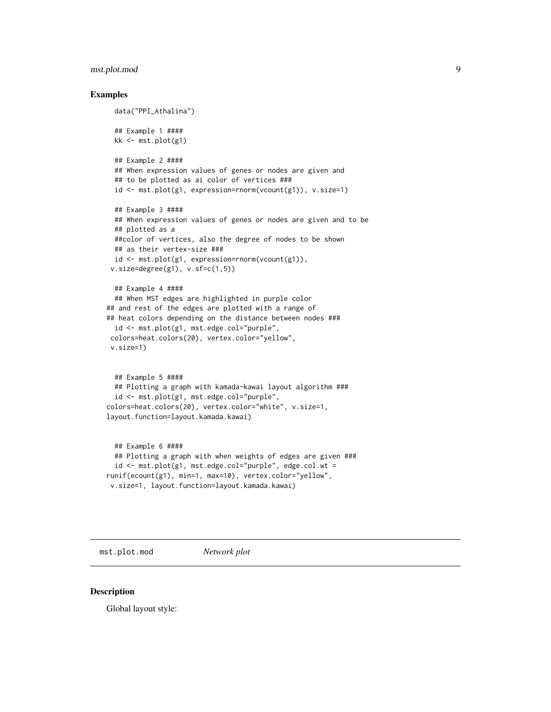#### <span id="page-8-0"></span>mst.plot.mod 9

#### Examples

```
data("PPI_Athalina")
 ## Example 1 ####
 kk <- mst.plot(g1)
 ## Example 2 ####
 ## When expression values of genes or nodes are given and
 ## to be plotted as ai color of vertices ###
 id <- mst.plot(g1, expression=rnorm(vcount(g1)), v.size=1)
 ## Example 3 ####
 ## When expression values of genes or nodes are given and to be
 ## plotted as a
 ##color of vertices, also the degree of nodes to be shown
 ## as their vertex-size ###
 id <- mst.plot(g1, expression=rnorm(vcount(g1)),
 v.size=degree(g1), v.sf=c(1,5))
 ## Example 4 ####
 ## When MST edges are highlighted in purple color
## and rest of the edges are plotted with a range of
## heat colors depending on the distance between nodes ###
 id <- mst.plot(g1, mst.edge.col="purple",
colors=heat.colors(20), vertex.color="yellow",
v.size=1)
 ## Example 5 ####
 ## Plotting a graph with kamada-kawai layout algorithm ###
 id <- mst.plot(g1, mst.edge.col="purple",
colors=heat.colors(20), vertex.color="white", v.size=1,
layout.function=layout.kamada.kawai)
 ## Example 6 ####
 ## Plotting a graph with when weights of edges are given ###
 id <- mst.plot(g1, mst.edge.col="purple", edge.col.wt =
runif(ecount(g1), min=1, max=10), vertex.color="yellow",
```

```
v.size=1, layout.function=layout.kamada.kawai)
```
mst.plot.mod *Network plot*

#### Description

Global layout style: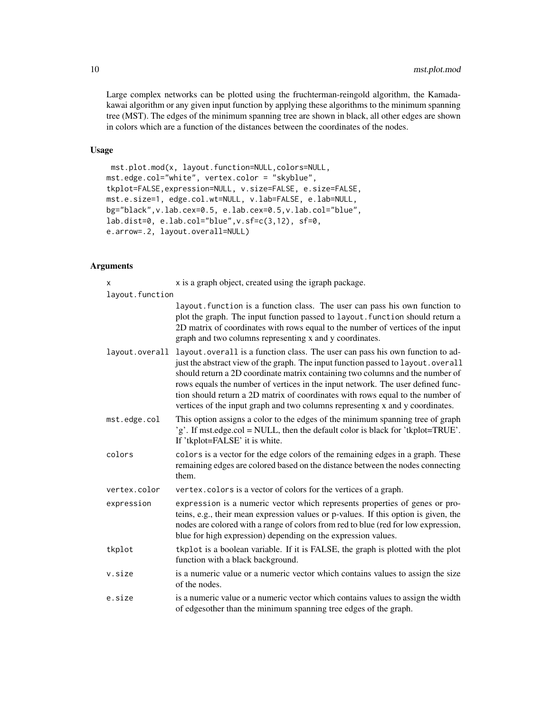Large complex networks can be plotted using the fruchterman-reingold algorithm, the Kamadakawai algorithm or any given input function by applying these algorithms to the minimum spanning tree (MST). The edges of the minimum spanning tree are shown in black, all other edges are shown in colors which are a function of the distances between the coordinates of the nodes.

#### Usage

```
mst.plot.mod(x, layout.function=NULL,colors=NULL,
mst.edge.col="white", vertex.color = "skyblue",
tkplot=FALSE,expression=NULL, v.size=FALSE, e.size=FALSE,
mst.e.size=1, edge.col.wt=NULL, v.lab=FALSE, e.lab=NULL,
bg="black",v.lab.cex=0.5, e.lab.cex=0.5,v.lab.col="blue",
lab.dist=0, e.lab.col="blue",v.sf=c(3,12), sf=0,
e.arrow=.2, layout.overall=NULL)
```

| x               | x is a graph object, created using the igraph package.                                                                                                                                                                                                                                                                                                                                                                                                                                                    |
|-----------------|-----------------------------------------------------------------------------------------------------------------------------------------------------------------------------------------------------------------------------------------------------------------------------------------------------------------------------------------------------------------------------------------------------------------------------------------------------------------------------------------------------------|
| layout.function |                                                                                                                                                                                                                                                                                                                                                                                                                                                                                                           |
|                 | layout function is a function class. The user can pass his own function to<br>plot the graph. The input function passed to layout. function should return a<br>2D matrix of coordinates with rows equal to the number of vertices of the input<br>graph and two columns representing x and y coordinates.                                                                                                                                                                                                 |
| layout.overall  | layout. overall is a function class. The user can pass his own function to ad-<br>just the abstract view of the graph. The input function passed to layout.overall<br>should return a 2D coordinate matrix containing two columns and the number of<br>rows equals the number of vertices in the input network. The user defined func-<br>tion should return a 2D matrix of coordinates with rows equal to the number of<br>vertices of the input graph and two columns representing x and y coordinates. |
| mst.edge.col    | This option assigns a color to the edges of the minimum spanning tree of graph<br>'g'. If mst.edge.col = NULL, then the default color is black for 'tkplot=TRUE'.<br>If 'tkplot=FALSE' it is white.                                                                                                                                                                                                                                                                                                       |
| colors          | colors is a vector for the edge colors of the remaining edges in a graph. These<br>remaining edges are colored based on the distance between the nodes connecting<br>them.                                                                                                                                                                                                                                                                                                                                |
| vertex.color    | vertex.colors is a vector of colors for the vertices of a graph.                                                                                                                                                                                                                                                                                                                                                                                                                                          |
| expression      | expression is a numeric vector which represents properties of genes or pro-<br>teins, e.g., their mean expression values or p-values. If this option is given, the<br>nodes are colored with a range of colors from red to blue (red for low expression,<br>blue for high expression) depending on the expression values.                                                                                                                                                                                 |
| tkplot          | tkplot is a boolean variable. If it is FALSE, the graph is plotted with the plot<br>function with a black background.                                                                                                                                                                                                                                                                                                                                                                                     |
| v.size          | is a numeric value or a numeric vector which contains values to assign the size<br>of the nodes.                                                                                                                                                                                                                                                                                                                                                                                                          |
| e.size          | is a numeric value or a numeric vector which contains values to assign the width<br>of edgesother than the minimum spanning tree edges of the graph.                                                                                                                                                                                                                                                                                                                                                      |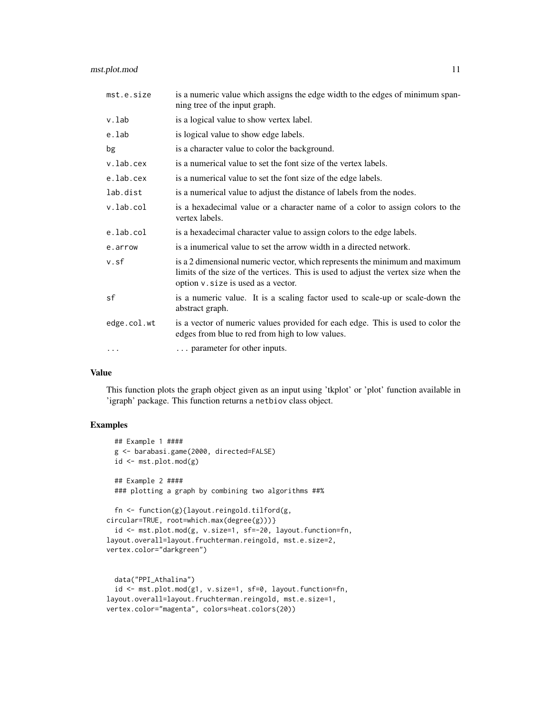#### mst.plot.mod 11

| mst.e.size  | is a numeric value which assigns the edge width to the edges of minimum span-<br>ning tree of the input graph.                                                                                            |
|-------------|-----------------------------------------------------------------------------------------------------------------------------------------------------------------------------------------------------------|
| v.lab       | is a logical value to show vertex label.                                                                                                                                                                  |
| e.lab       | is logical value to show edge labels.                                                                                                                                                                     |
| bg          | is a character value to color the background.                                                                                                                                                             |
| v.lab.cex   | is a numerical value to set the font size of the vertex labels.                                                                                                                                           |
| e.lab.cex   | is a numerical value to set the font size of the edge labels.                                                                                                                                             |
| lab.dist    | is a numerical value to adjust the distance of labels from the nodes.                                                                                                                                     |
| v.lab.col   | is a hexadecimal value or a character name of a color to assign colors to the<br>vertex labels.                                                                                                           |
| e.lab.col   | is a hexadecimal character value to assign colors to the edge labels.                                                                                                                                     |
| e.arrow     | is a inumerical value to set the arrow width in a directed network.                                                                                                                                       |
| v.sf        | is a 2 dimensional numeric vector, which represents the minimum and maximum<br>limits of the size of the vertices. This is used to adjust the vertex size when the<br>option v. size is used as a vector. |
| sf          | is a numeric value. It is a scaling factor used to scale-up or scale-down the<br>abstract graph.                                                                                                          |
| edge.col.wt | is a vector of numeric values provided for each edge. This is used to color the<br>edges from blue to red from high to low values.                                                                        |
| $\cdots$    | parameter for other inputs.                                                                                                                                                                               |
|             |                                                                                                                                                                                                           |

#### Value

This function plots the graph object given as an input using 'tkplot' or 'plot' function available in 'igraph' package. This function returns a netbiov class object.

```
## Example 1 ####
 g <- barabasi.game(2000, directed=FALSE)
 id <- mst.plot.mod(g)
 ## Example 2 ####
 ### plotting a graph by combining two algorithms ##%
 fn <- function(g){layout.reingold.tilford(g,
circular=TRUE, root=which.max(degree(g)))}
 id <- mst.plot.mod(g, v.size=1, sf=-20, layout.function=fn,
layout.overall=layout.fruchterman.reingold, mst.e.size=2,
vertex.color="darkgreen")
 data("PPI_Athalina")
```

```
id <- mst.plot.mod(g1, v.size=1, sf=0, layout.function=fn,
layout.overall=layout.fruchterman.reingold, mst.e.size=1,
vertex.color="magenta", colors=heat.colors(20))
```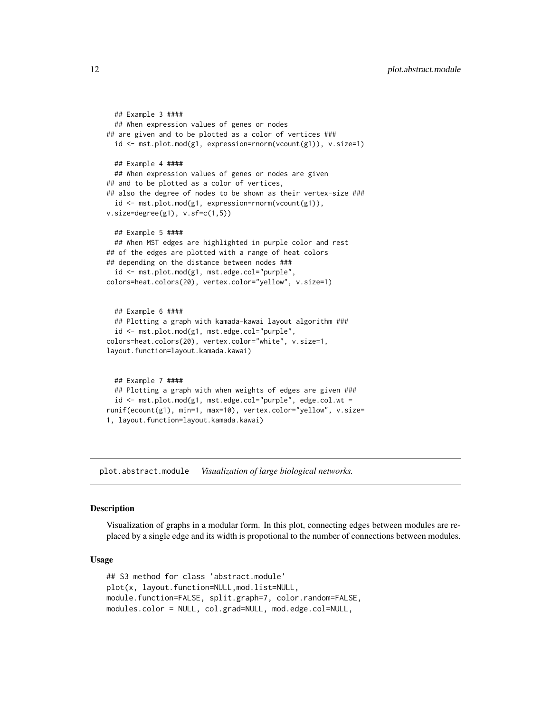```
## Example 3 ####
 ## When expression values of genes or nodes
## are given and to be plotted as a color of vertices ###
 id <- mst.plot.mod(g1, expression=rnorm(vcount(g1)), v.size=1)
 ## Example 4 ####
 ## When expression values of genes or nodes are given
## and to be plotted as a color of vertices,
## also the degree of nodes to be shown as their vertex-size ###
 id <- mst.plot.mod(g1, expression=rnorm(vcount(g1)),
v.size=degree(g1), v.sf=c(1,5))
 ## Example 5 ####
 ## When MST edges are highlighted in purple color and rest
## of the edges are plotted with a range of heat colors
## depending on the distance between nodes ###
 id <- mst.plot.mod(g1, mst.edge.col="purple",
colors=heat.colors(20), vertex.color="yellow", v.size=1)
 ## Example 6 ####
 ## Plotting a graph with kamada-kawai layout algorithm ###
 id <- mst.plot.mod(g1, mst.edge.col="purple",
colors=heat.colors(20), vertex.color="white", v.size=1,
layout.function=layout.kamada.kawai)
 ## Example 7 ####
 ## Plotting a graph with when weights of edges are given ###
 id <- mst.plot.mod(g1, mst.edge.col="purple", edge.col.wt =
runif(ecount(g1), min=1, max=10), vertex.color="yellow", v.size=
```

```
1, layout.function=layout.kamada.kawai)
```
plot.abstract.module *Visualization of large biological networks.*

#### Description

Visualization of graphs in a modular form. In this plot, connecting edges between modules are replaced by a single edge and its width is propotional to the number of connections between modules.

#### Usage

```
## S3 method for class 'abstract.module'
plot(x, layout.function=NULL,mod.list=NULL,
module.function=FALSE, split.graph=7, color.random=FALSE,
modules.color = NULL, col.grad=NULL, mod.edge.col=NULL,
```
<span id="page-11-0"></span>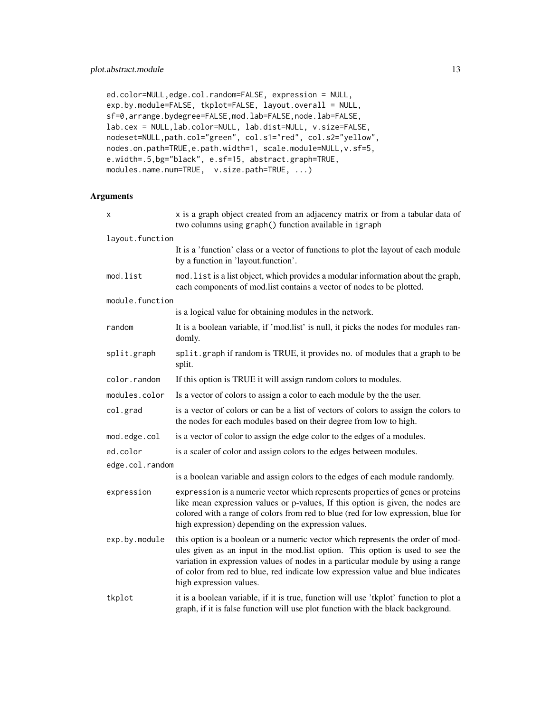```
ed.color=NULL,edge.col.random=FALSE, expression = NULL,
exp.by.module=FALSE, tkplot=FALSE, layout.overall = NULL,
sf=0,arrange.bydegree=FALSE,mod.lab=FALSE,node.lab=FALSE,
lab.cex = NULL,lab.color=NULL, lab.dist=NULL, v.size=FALSE,
nodeset=NULL,path.col="green", col.s1="red", col.s2="yellow",
nodes.on.path=TRUE,e.path.width=1, scale.module=NULL,v.sf=5,
e.width=.5,bg="black", e.sf=15, abstract.graph=TRUE,
modules.name.num=TRUE, v.size.path=TRUE, ...)
```

| X               | x is a graph object created from an adjacency matrix or from a tabular data of<br>two columns using graph() function available in igraph                                                                                                                                                                                                                          |
|-----------------|-------------------------------------------------------------------------------------------------------------------------------------------------------------------------------------------------------------------------------------------------------------------------------------------------------------------------------------------------------------------|
| layout.function |                                                                                                                                                                                                                                                                                                                                                                   |
|                 | It is a 'function' class or a vector of functions to plot the layout of each module<br>by a function in 'layout.function'.                                                                                                                                                                                                                                        |
| mod.list        | mod. list is a list object, which provides a modular information about the graph,<br>each components of mod.list contains a vector of nodes to be plotted.                                                                                                                                                                                                        |
| module.function |                                                                                                                                                                                                                                                                                                                                                                   |
|                 | is a logical value for obtaining modules in the network.                                                                                                                                                                                                                                                                                                          |
| random          | It is a boolean variable, if 'mod.list' is null, it picks the nodes for modules ran-<br>domly.                                                                                                                                                                                                                                                                    |
| split.graph     | split.graph if random is TRUE, it provides no. of modules that a graph to be<br>split.                                                                                                                                                                                                                                                                            |
| color.random    | If this option is TRUE it will assign random colors to modules.                                                                                                                                                                                                                                                                                                   |
| modules.color   | Is a vector of colors to assign a color to each module by the the user.                                                                                                                                                                                                                                                                                           |
| col.grad        | is a vector of colors or can be a list of vectors of colors to assign the colors to<br>the nodes for each modules based on their degree from low to high.                                                                                                                                                                                                         |
| mod.edge.col    | is a vector of color to assign the edge color to the edges of a modules.                                                                                                                                                                                                                                                                                          |
| ed.color        | is a scaler of color and assign colors to the edges between modules.                                                                                                                                                                                                                                                                                              |
| edge.col.random |                                                                                                                                                                                                                                                                                                                                                                   |
|                 | is a boolean variable and assign colors to the edges of each module randomly.                                                                                                                                                                                                                                                                                     |
| expression      | expression is a numeric vector which represents properties of genes or proteins<br>like mean expression values or p-values, If this option is given, the nodes are<br>colored with a range of colors from red to blue (red for low expression, blue for<br>high expression) depending on the expression values.                                                   |
| exp.by.module   | this option is a boolean or a numeric vector which represents the order of mod-<br>ules given as an input in the mod.list option. This option is used to see the<br>variation in expression values of nodes in a particular module by using a range<br>of color from red to blue, red indicate low expression value and blue indicates<br>high expression values. |
| tkplot          | it is a boolean variable, if it is true, function will use 'tkplot' function to plot a<br>graph, if it is false function will use plot function with the black background.                                                                                                                                                                                        |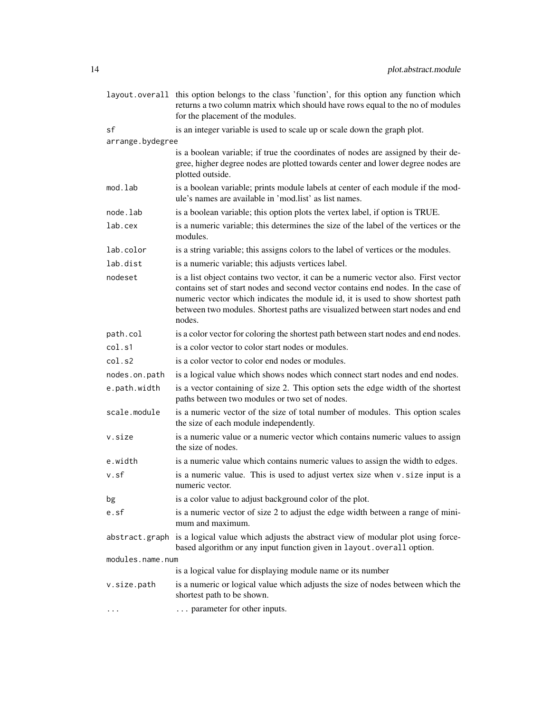|                  | layout overall this option belongs to the class 'function', for this option any function which<br>returns a two column matrix which should have rows equal to the no of modules<br>for the placement of the modules.                                                                                                                                  |  |
|------------------|-------------------------------------------------------------------------------------------------------------------------------------------------------------------------------------------------------------------------------------------------------------------------------------------------------------------------------------------------------|--|
| sf               | is an integer variable is used to scale up or scale down the graph plot.                                                                                                                                                                                                                                                                              |  |
| arrange.bydegree |                                                                                                                                                                                                                                                                                                                                                       |  |
|                  | is a boolean variable; if true the coordinates of nodes are assigned by their de-<br>gree, higher degree nodes are plotted towards center and lower degree nodes are<br>plotted outside.                                                                                                                                                              |  |
| mod.lab          | is a boolean variable; prints module labels at center of each module if the mod-<br>ule's names are available in 'mod.list' as list names.                                                                                                                                                                                                            |  |
| node.lab         | is a boolean variable; this option plots the vertex label, if option is TRUE.                                                                                                                                                                                                                                                                         |  |
| lab.cex          | is a numeric variable; this determines the size of the label of the vertices or the<br>modules.                                                                                                                                                                                                                                                       |  |
| lab.color        | is a string variable; this assigns colors to the label of vertices or the modules.                                                                                                                                                                                                                                                                    |  |
| lab.dist         | is a numeric variable; this adjusts vertices label.                                                                                                                                                                                                                                                                                                   |  |
| nodeset          | is a list object contains two vector, it can be a numeric vector also. First vector<br>contains set of start nodes and second vector contains end nodes. In the case of<br>numeric vector which indicates the module id, it is used to show shortest path<br>between two modules. Shortest paths are visualized between start nodes and end<br>nodes. |  |
| path.col         | is a color vector for coloring the shortest path between start nodes and end nodes.                                                                                                                                                                                                                                                                   |  |
| col.s1           | is a color vector to color start nodes or modules.                                                                                                                                                                                                                                                                                                    |  |
| col.s2           | is a color vector to color end nodes or modules.                                                                                                                                                                                                                                                                                                      |  |
| nodes.on.path    | is a logical value which shows nodes which connect start nodes and end nodes.                                                                                                                                                                                                                                                                         |  |
| e.path.width     | is a vector containing of size 2. This option sets the edge width of the shortest<br>paths between two modules or two set of nodes.                                                                                                                                                                                                                   |  |
| scale.module     | is a numeric vector of the size of total number of modules. This option scales<br>the size of each module independently.                                                                                                                                                                                                                              |  |
| v.size           | is a numeric value or a numeric vector which contains numeric values to assign<br>the size of nodes.                                                                                                                                                                                                                                                  |  |
| e.width          | is a numeric value which contains numeric values to assign the width to edges.                                                                                                                                                                                                                                                                        |  |
| v.sf             | is a numeric value. This is used to adjust vertex size when v. size input is a<br>numeric vector.                                                                                                                                                                                                                                                     |  |
| bg               | is a color value to adjust background color of the plot.                                                                                                                                                                                                                                                                                              |  |
| e.sf             | is a numeric vector of size 2 to adjust the edge width between a range of mini-<br>mum and maximum.                                                                                                                                                                                                                                                   |  |
|                  | abstract.graph is a logical value which adjusts the abstract view of modular plot using force-<br>based algorithm or any input function given in layout. overall option.                                                                                                                                                                              |  |
| modules.name.num |                                                                                                                                                                                                                                                                                                                                                       |  |
|                  | is a logical value for displaying module name or its number                                                                                                                                                                                                                                                                                           |  |
| v.size.path      | is a numeric or logical value which adjusts the size of nodes between which the<br>shortest path to be shown.                                                                                                                                                                                                                                         |  |
| $\cdots$         | parameter for other inputs.                                                                                                                                                                                                                                                                                                                           |  |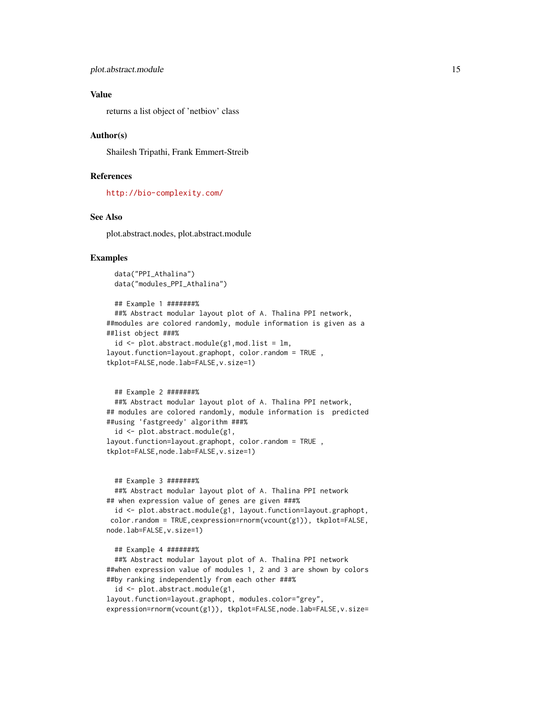#### Value

returns a list object of 'netbiov' class

#### Author(s)

Shailesh Tripathi, Frank Emmert-Streib

#### References

<http://bio-complexity.com/>

#### See Also

plot.abstract.nodes, plot.abstract.module

#### Examples

```
data("PPI_Athalina")
data("modules_PPI_Athalina")
```

```
## Example 1 #######%
 ##% Abstract modular layout plot of A. Thalina PPI network,
##modules are colored randomly, module information is given as a
##list object ###%
 id \leq plot.abstraction.module(g1,mod.list = lm,layout.function=layout.graphopt, color.random = TRUE ,
tkplot=FALSE,node.lab=FALSE,v.size=1)
```

```
## Example 2 #######%
 ##% Abstract modular layout plot of A. Thalina PPI network,
## modules are colored randomly, module information is predicted
##using 'fastgreedy' algorithm ###%
 id <- plot.abstract.module(g1,
layout.function=layout.graphopt, color.random = TRUE ,
tkplot=FALSE,node.lab=FALSE,v.size=1)
```
#### ## Example 3 #######%

##% Abstract modular layout plot of A. Thalina PPI network ## when expression value of genes are given ###%

```
id <- plot.abstract.module(g1, layout.function=layout.graphopt,
color.random = TRUE,cexpression=rnorm(vcount(g1)), tkplot=FALSE,
node.lab=FALSE,v.size=1)
```

```
## Example 4 #######%
```
##% Abstract modular layout plot of A. Thalina PPI network ##when expression value of modules 1, 2 and 3 are shown by colors ##by ranking independently from each other ###%

id <- plot.abstract.module(g1,

layout.function=layout.graphopt, modules.color="grey", expression=rnorm(vcount(g1)), tkplot=FALSE,node.lab=FALSE,v.size=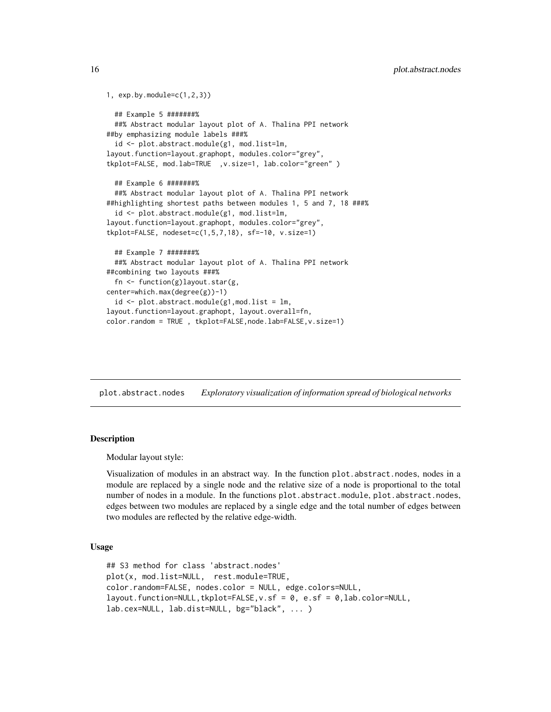```
1, exp.by.module=c(1,2,3))
 ## Example 5 #######%
 ##% Abstract modular layout plot of A. Thalina PPI network
##by emphasizing module labels ###%
 id <- plot.abstract.module(g1, mod.list=lm,
layout.function=layout.graphopt, modules.color="grey",
tkplot=FALSE, mod.lab=TRUE ,v.size=1, lab.color="green" )
 ## Example 6 #######%
 ##% Abstract modular layout plot of A. Thalina PPI network
##highlighting shortest paths between modules 1, 5 and 7, 18 ###%
  id <- plot.abstract.module(g1, mod.list=lm,
layout.function=layout.graphopt, modules.color="grey",
tkplot=FALSE, nodeset=c(1,5,7,18), sf=-10, v.size=1)
 ## Example 7 #######%
 ##% Abstract modular layout plot of A. Thalina PPI network
##combining two layouts ###%
  fn <- function(g)layout.star(g,
center=which.max(degree(g))-1)
  id \leftarrow plot.abstract.module(g1,mod.list = lm,layout.function=layout.graphopt, layout.overall=fn,
color.random = TRUE , tkplot=FALSE,node.lab=FALSE,v.size=1)
```
plot.abstract.nodes *Exploratory visualization of information spread of biological networks*

#### Description

Modular layout style:

Visualization of modules in an abstract way. In the function plot.abstract.nodes, nodes in a module are replaced by a single node and the relative size of a node is proportional to the total number of nodes in a module. In the functions plot.abstract.module, plot.abstract.nodes, edges between two modules are replaced by a single edge and the total number of edges between two modules are reflected by the relative edge-width.

#### Usage

```
## S3 method for class 'abstract.nodes'
plot(x, mod.list=NULL, rest.module=TRUE,
color.random=FALSE, nodes.color = NULL, edge.colors=NULL,
layout.function=NULL,tkplot=FALSE,v.sf = 0, e.sf = 0,lab.color=NULL,
lab.cex=NULL, lab.dist=NULL, bg="black", ... )
```
<span id="page-15-0"></span>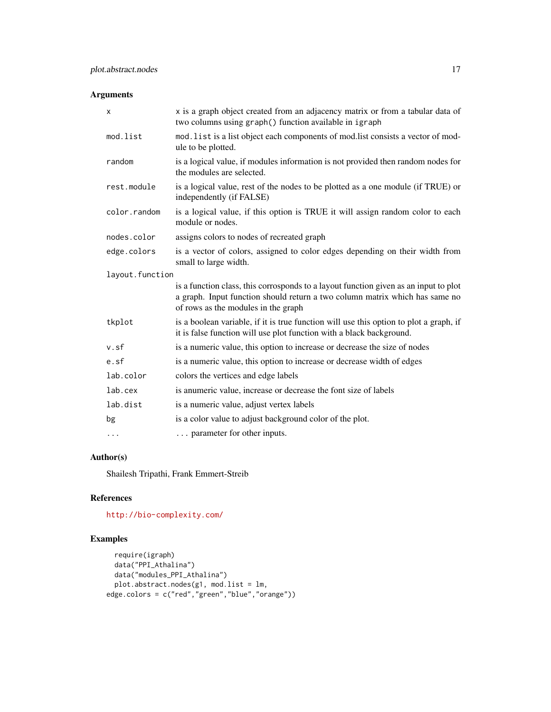#### Arguments

| X               | x is a graph object created from an adjacency matrix or from a tabular data of<br>two columns using graph() function available in igraph                                                                   |
|-----------------|------------------------------------------------------------------------------------------------------------------------------------------------------------------------------------------------------------|
| mod.list        | mod. list is a list object each components of mod.list consists a vector of mod-<br>ule to be plotted.                                                                                                     |
| random          | is a logical value, if modules information is not provided then random nodes for<br>the modules are selected.                                                                                              |
| rest.module     | is a logical value, rest of the nodes to be plotted as a one module (if TRUE) or<br>independently (if FALSE)                                                                                               |
| color.random    | is a logical value, if this option is TRUE it will assign random color to each<br>module or nodes.                                                                                                         |
| nodes.color     | assigns colors to nodes of recreated graph                                                                                                                                                                 |
| edge.colors     | is a vector of colors, assigned to color edges depending on their width from<br>small to large width.                                                                                                      |
| layout.function |                                                                                                                                                                                                            |
|                 | is a function class, this corrosponds to a layout function given as an input to plot<br>a graph. Input function should return a two column matrix which has same no<br>of rows as the modules in the graph |
| tkplot          | is a boolean variable, if it is true function will use this option to plot a graph, if<br>it is false function will use plot function with a black background.                                             |
| v.sf            | is a numeric value, this option to increase or decrease the size of nodes                                                                                                                                  |
| e.sf            | is a numeric value, this option to increase or decrease width of edges                                                                                                                                     |
| lab.color       | colors the vertices and edge labels                                                                                                                                                                        |
| lab.cex         | is anumeric value, increase or decrease the font size of labels                                                                                                                                            |
| lab.dist        | is a numeric value, adjust vertex labels                                                                                                                                                                   |
| bg              | is a color value to adjust background color of the plot.                                                                                                                                                   |
| .               | parameter for other inputs.                                                                                                                                                                                |

### Author(s)

Shailesh Tripathi, Frank Emmert-Streib

### References

<http://bio-complexity.com/>

```
require(igraph)
 data("PPI_Athalina")
 data("modules_PPI_Athalina")
  plot.abstract.nodes(g1, mod.list = lm,
edge.colors = c("red","green","blue","orange"))
```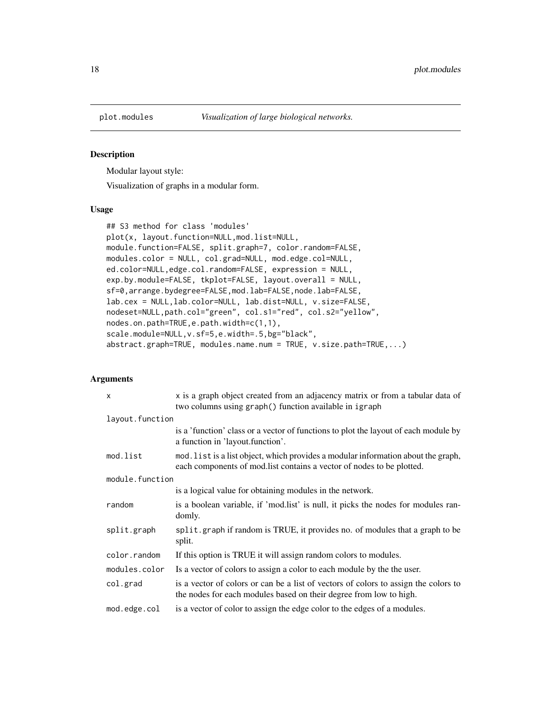<span id="page-17-0"></span>

#### Description

Modular layout style:

Visualization of graphs in a modular form.

#### Usage

```
## S3 method for class 'modules'
plot(x, layout.function=NULL,mod.list=NULL,
module.function=FALSE, split.graph=7, color.random=FALSE,
modules.color = NULL, col.grad=NULL, mod.edge.col=NULL,
ed.color=NULL,edge.col.random=FALSE, expression = NULL,
exp.by.module=FALSE, tkplot=FALSE, layout.overall = NULL,
sf=0,arrange.bydegree=FALSE,mod.lab=FALSE,node.lab=FALSE,
lab.cex = NULL,lab.color=NULL, lab.dist=NULL, v.size=FALSE,
nodeset=NULL,path.col="green", col.s1="red", col.s2="yellow",
nodes.on.path=TRUE,e.path.width=c(1,1),
scale.module=NULL,v.sf=5,e.width=.5,bg="black",
abstract.graph=TRUE, modules.name.num = TRUE, v.size.path=TRUE,...)
```

| $\mathsf{x}$    | x is a graph object created from an adjacency matrix or from a tabular data of<br>two columns using graph() function available in igraph                    |
|-----------------|-------------------------------------------------------------------------------------------------------------------------------------------------------------|
| layout.function |                                                                                                                                                             |
|                 | is a 'function' class or a vector of functions to plot the layout of each module by<br>a function in 'layout.function'.                                     |
| mod.list        | mod. list is a list object, which provides a modular information about the graph,<br>each components of mod. list contains a vector of nodes to be plotted. |
| module.function |                                                                                                                                                             |
|                 | is a logical value for obtaining modules in the network.                                                                                                    |
| random          | is a boolean variable, if 'mod.list' is null, it picks the nodes for modules ran-<br>domly.                                                                 |
| split.graph     | split graph if random is TRUE, it provides no. of modules that a graph to be<br>split.                                                                      |
| color.random    | If this option is TRUE it will assign random colors to modules.                                                                                             |
| modules.color   | Is a vector of colors to assign a color to each module by the the user.                                                                                     |
| col.grad        | is a vector of colors or can be a list of vectors of colors to assign the colors to<br>the nodes for each modules based on their degree from low to high.   |
| mod.edge.col    | is a vector of color to assign the edge color to the edges of a modules.                                                                                    |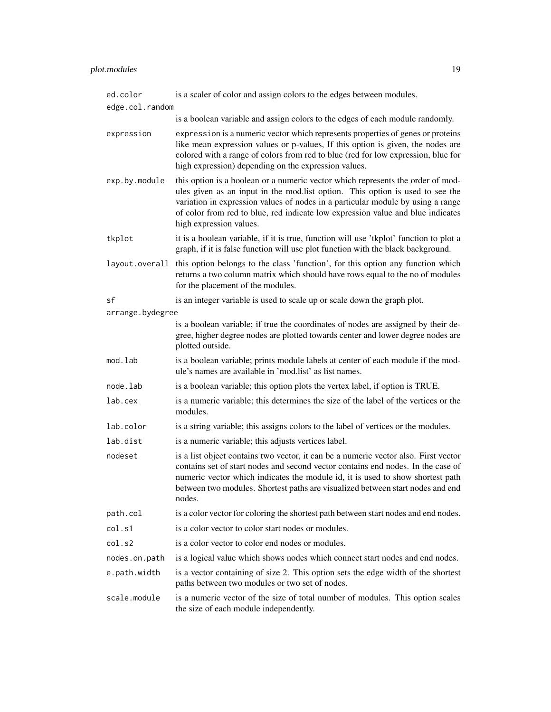| ed.color         | is a scaler of color and assign colors to the edges between modules.                                                                                                                                                                                                                                                                                              |
|------------------|-------------------------------------------------------------------------------------------------------------------------------------------------------------------------------------------------------------------------------------------------------------------------------------------------------------------------------------------------------------------|
| edge.col.random  |                                                                                                                                                                                                                                                                                                                                                                   |
|                  | is a boolean variable and assign colors to the edges of each module randomly.                                                                                                                                                                                                                                                                                     |
| expression       | expression is a numeric vector which represents properties of genes or proteins<br>like mean expression values or p-values, If this option is given, the nodes are<br>colored with a range of colors from red to blue (red for low expression, blue for<br>high expression) depending on the expression values.                                                   |
| exp.by.module    | this option is a boolean or a numeric vector which represents the order of mod-<br>ules given as an input in the mod.list option. This option is used to see the<br>variation in expression values of nodes in a particular module by using a range<br>of color from red to blue, red indicate low expression value and blue indicates<br>high expression values. |
| tkplot           | it is a boolean variable, if it is true, function will use 'tkplot' function to plot a<br>graph, if it is false function will use plot function with the black background.                                                                                                                                                                                        |
|                  | layout overall this option belongs to the class 'function', for this option any function which<br>returns a two column matrix which should have rows equal to the no of modules<br>for the placement of the modules.                                                                                                                                              |
| sf               | is an integer variable is used to scale up or scale down the graph plot.                                                                                                                                                                                                                                                                                          |
| arrange.bydegree |                                                                                                                                                                                                                                                                                                                                                                   |
|                  | is a boolean variable; if true the coordinates of nodes are assigned by their de-<br>gree, higher degree nodes are plotted towards center and lower degree nodes are<br>plotted outside.                                                                                                                                                                          |
| mod.lab          | is a boolean variable; prints module labels at center of each module if the mod-<br>ule's names are available in 'mod.list' as list names.                                                                                                                                                                                                                        |
| node.lab         | is a boolean variable; this option plots the vertex label, if option is TRUE.                                                                                                                                                                                                                                                                                     |
| lab.cex          | is a numeric variable; this determines the size of the label of the vertices or the<br>modules.                                                                                                                                                                                                                                                                   |
| lab.color        | is a string variable; this assigns colors to the label of vertices or the modules.                                                                                                                                                                                                                                                                                |
| lab.dist         | is a numeric variable; this adjusts vertices label.                                                                                                                                                                                                                                                                                                               |
| nodeset          | is a list object contains two vector, it can be a numeric vector also. First vector<br>contains set of start nodes and second vector contains end nodes. In the case of<br>numeric vector which indicates the module id, it is used to show shortest path<br>between two modules. Shortest paths are visualized between start nodes and end<br>nodes.             |
| path.col         | is a color vector for coloring the shortest path between start nodes and end nodes.                                                                                                                                                                                                                                                                               |
| col.s1           | is a color vector to color start nodes or modules.                                                                                                                                                                                                                                                                                                                |
| col.s2           | is a color vector to color end nodes or modules.                                                                                                                                                                                                                                                                                                                  |
| nodes.on.path    | is a logical value which shows nodes which connect start nodes and end nodes.                                                                                                                                                                                                                                                                                     |
| e.path.width     | is a vector containing of size 2. This option sets the edge width of the shortest<br>paths between two modules or two set of nodes.                                                                                                                                                                                                                               |
| scale.module     | is a numeric vector of the size of total number of modules. This option scales<br>the size of each module independently.                                                                                                                                                                                                                                          |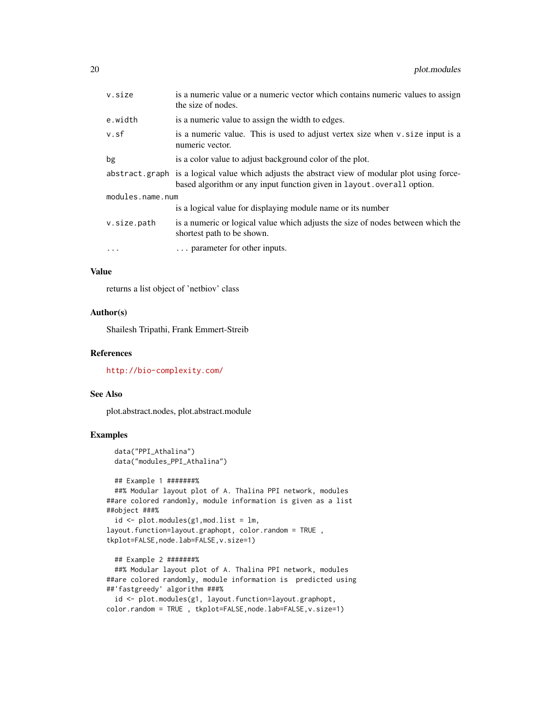| v.size           | is a numeric value or a numeric vector which contains numeric values to assign<br>the size of nodes.                                                                     |  |
|------------------|--------------------------------------------------------------------------------------------------------------------------------------------------------------------------|--|
| e.width          | is a numeric value to assign the width to edges.                                                                                                                         |  |
| v.sf             | is a numeric value. This is used to adjust vertex size when v. size input is a<br>numeric vector.                                                                        |  |
| bg               | is a color value to adjust background color of the plot.                                                                                                                 |  |
|                  | abstract graph is a logical value which adjusts the abstract view of modular plot using force-<br>based algorithm or any input function given in layout. overall option. |  |
| modules.name.num |                                                                                                                                                                          |  |
|                  | is a logical value for displaying module name or its number                                                                                                              |  |
| v.size.path      | is a numeric or logical value which adjusts the size of nodes between which the<br>shortest path to be shown.                                                            |  |
| $\ddots$         | parameter for other inputs.                                                                                                                                              |  |

#### Value

returns a list object of 'netbiov' class

#### Author(s)

Shailesh Tripathi, Frank Emmert-Streib

#### References

<http://bio-complexity.com/>

#### See Also

plot.abstract.nodes, plot.abstract.module

```
data("PPI_Athalina")
data("modules_PPI_Athalina")
```

```
## Example 1 #######%
 ##% Modular layout plot of A. Thalina PPI network, modules
##are colored randomly, module information is given as a list
##object ###%
 id \leq plot.modules(g1,mod.list = lm,layout.function=layout.graphopt, color.random = TRUE ,
tkplot=FALSE,node.lab=FALSE,v.size=1)
```

```
## Example 2 #######%
 ##% Modular layout plot of A. Thalina PPI network, modules
##are colored randomly, module information is predicted using
##'fastgreedy' algorithm ###%
 id <- plot.modules(g1, layout.function=layout.graphopt,
```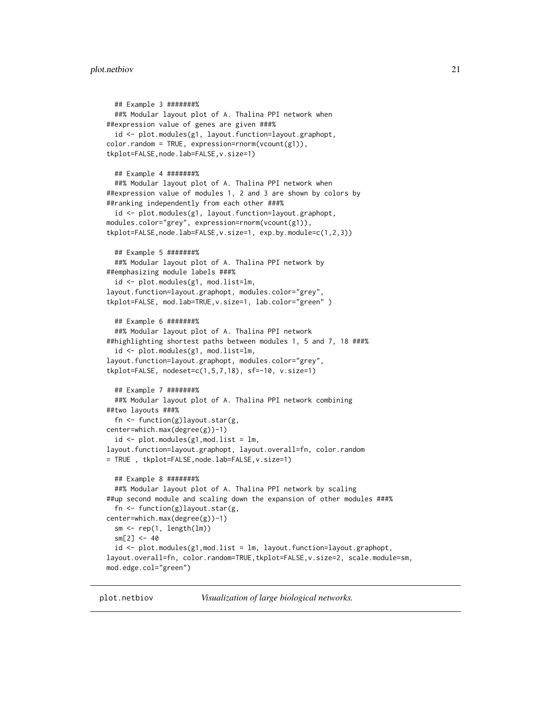```
## Example 3 #######%
  ##% Modular layout plot of A. Thalina PPI network when
##expression value of genes are given ###%
 id <- plot.modules(g1, layout.function=layout.graphopt,
color.random = TRUE, expression=rrnorm(vcount(g1)),tkplot=FALSE,node.lab=FALSE,v.size=1)
 ## Example 4 #######%
  ##% Modular layout plot of A. Thalina PPI network when
##expression value of modules 1, 2 and 3 are shown by colors by
##ranking independently from each other ###%
  id <- plot.modules(g1, layout.function=layout.graphopt,
modules.color="grey", expression=rnorm(vcount(g1)),
tkplot=FALSE,node.lab=FALSE,v.size=1, exp.by.module=c(1,2,3))
 ## Example 5 #######%
  ##% Modular layout plot of A. Thalina PPI network by
##emphasizing module labels ###%
  id <- plot.modules(g1, mod.list=lm,
layout.function=layout.graphopt, modules.color="grey",
tkplot=FALSE, mod.lab=TRUE,v.size=1, lab.color="green" )
 ## Example 6 #######%
 ##% Modular layout plot of A. Thalina PPI network
##highlighting shortest paths between modules 1, 5 and 7, 18 ###%
  id <- plot.modules(g1, mod.list=lm,
layout.function=layout.graphopt, modules.color="grey",
tkplot=FALSE, nodeset=c(1,5,7,18), sf=-10, v.size=1)
 ## Example 7 #######%
 ##% Modular layout plot of A. Thalina PPI network combining
##two layouts ###%
  fn <- function(g)layout.star(g,
center=which.max(degree(g))-1)
  id \leq plot.modules(g1,mod.list = lm,layout.function=layout.graphopt, layout.overall=fn, color.random
= TRUE , tkplot=FALSE,node.lab=FALSE,v.size=1)
  ## Example 8 #######%
  ##% Modular layout plot of A. Thalina PPI network by scaling
##up second module and scaling down the expansion of other modules ###%
  fn <- function(g)layout.star(g,
center=which.max(degree(g))-1)
 sm \leftarrow rep(1, length(lm))sm[2] < -40id \leq plot.modules(g1,mod.list = lm, layout.function = layout.graphopt,layout.overall=fn, color.random=TRUE,tkplot=FALSE,v.size=2, scale.module=sm,
mod.edge.col="green")
```
plot.netbiov *Visualization of large biological networks.*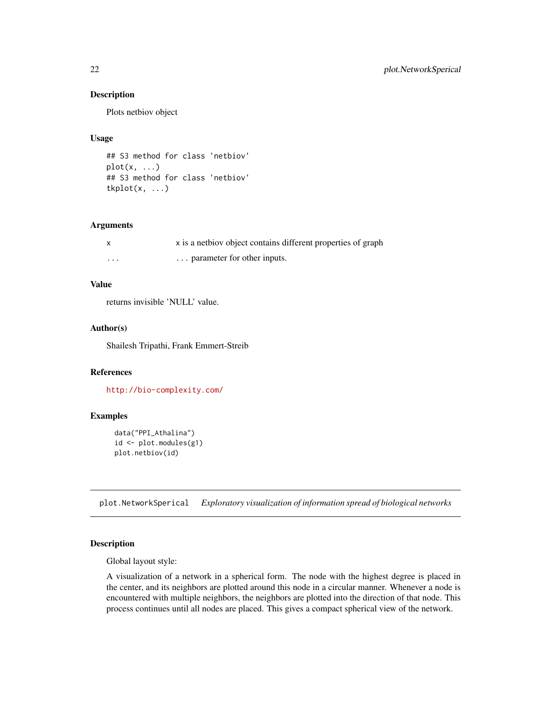#### Description

Plots netbiov object

#### Usage

```
## S3 method for class 'netbiov'
plot(x, \ldots)## S3 method for class 'netbiov'
tkplot(x, ...)
```
#### Arguments

|                         | x is a netbiov object contains different properties of graph |
|-------------------------|--------------------------------------------------------------|
| $\cdot$ $\cdot$ $\cdot$ | parameter for other inputs.                                  |

#### Value

returns invisible 'NULL' value.

#### Author(s)

Shailesh Tripathi, Frank Emmert-Streib

#### References

<http://bio-complexity.com/>

#### Examples

```
data("PPI_Athalina")
id <- plot.modules(g1)
plot.netbiov(id)
```
plot.NetworkSperical *Exploratory visualization of information spread of biological networks*

#### Description

Global layout style:

A visualization of a network in a spherical form. The node with the highest degree is placed in the center, and its neighbors are plotted around this node in a circular manner. Whenever a node is encountered with multiple neighbors, the neighbors are plotted into the direction of that node. This process continues until all nodes are placed. This gives a compact spherical view of the network.

<span id="page-21-0"></span>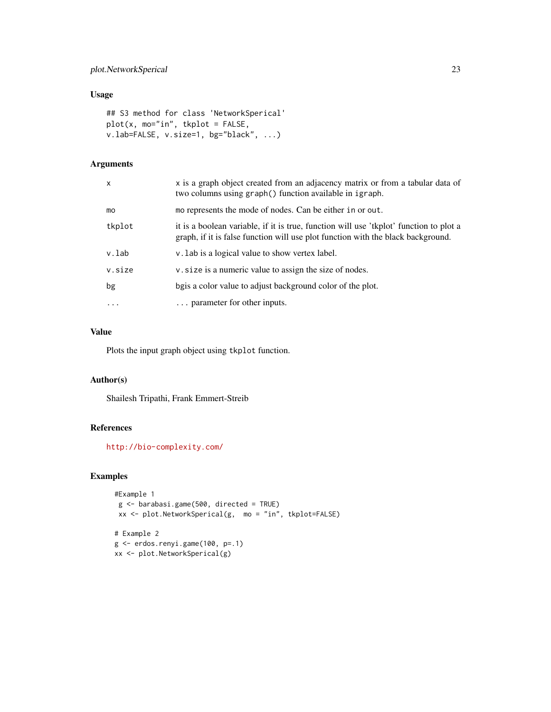#### plot.NetworkSperical 23

#### Usage

```
## S3 method for class 'NetworkSperical'
plot(x, mo="in", tkplot = FALSE,
v.lab=FALSE, v.size=1, bg="black", ...)
```
#### Arguments

| X          | x is a graph object created from an adjacency matrix or from a tabular data of<br>two columns using graph() function available in igraph.                                  |
|------------|----------------------------------------------------------------------------------------------------------------------------------------------------------------------------|
| mo         | mo represents the mode of nodes. Can be either in or out.                                                                                                                  |
| tkplot     | it is a boolean variable, if it is true, function will use 'tkplot' function to plot a<br>graph, if it is false function will use plot function with the black background. |
| v.lab      | v. Lab is a logical value to show vertex label.                                                                                                                            |
| v.size     | v. size is a numeric value to assign the size of nodes.                                                                                                                    |
| bg         | bgis a color value to adjust background color of the plot.                                                                                                                 |
| $\ddots$ . | parameter for other inputs.                                                                                                                                                |

#### Value

Plots the input graph object using tkplot function.

#### Author(s)

Shailesh Tripathi, Frank Emmert-Streib

#### References

<http://bio-complexity.com/>

#### Examples

```
#Example 1
g <- barabasi.game(500, directed = TRUE)
xx <- plot.NetworkSperical(g, mo = "in", tkplot=FALSE)
# Example 2
g <- erdos.renyi.game(100, p=.1)
```
xx <- plot.NetworkSperical(g)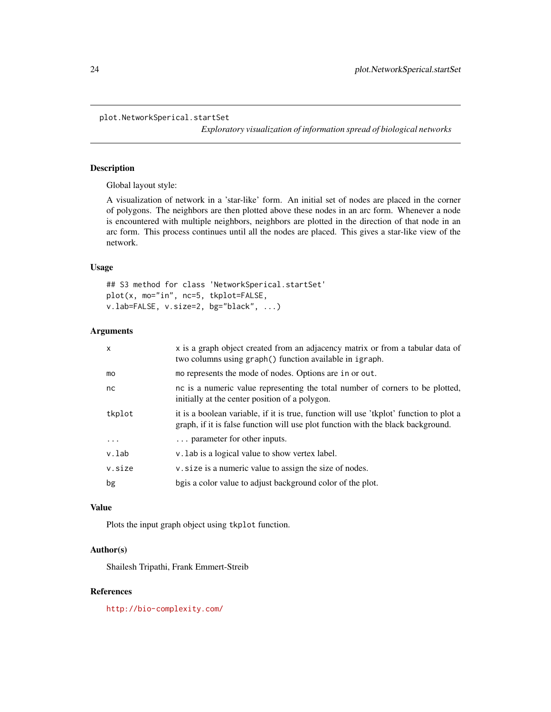*Exploratory visualization of information spread of biological networks*

#### <span id="page-23-0"></span>Description

Global layout style:

A visualization of network in a 'star-like' form. An initial set of nodes are placed in the corner of polygons. The neighbors are then plotted above these nodes in an arc form. Whenever a node is encountered with multiple neighbors, neighbors are plotted in the direction of that node in an arc form. This process continues until all the nodes are placed. This gives a star-like view of the network.

#### Usage

## S3 method for class 'NetworkSperical.startSet' plot(x, mo="in", nc=5, tkplot=FALSE, v.lab=FALSE, v.size=2, bg="black", ...)

#### Arguments

| $\mathsf{x}$ | x is a graph object created from an adjacency matrix or from a tabular data of<br>two columns using graph() function available in igraph.                                  |
|--------------|----------------------------------------------------------------------------------------------------------------------------------------------------------------------------|
| mo           | mo represents the mode of nodes. Options are in or out.                                                                                                                    |
| nc.          | nc is a numeric value representing the total number of corners to be plotted,<br>initially at the center position of a polygon.                                            |
| tkplot       | it is a boolean variable, if it is true, function will use 'tkplot' function to plot a<br>graph, if it is false function will use plot function with the black background. |
| $\cdots$     | parameter for other inputs.                                                                                                                                                |
| v.lab        | v. Lab is a logical value to show vertex label.                                                                                                                            |
| v.size       | v. size is a numeric value to assign the size of nodes.                                                                                                                    |
| bg           | bgis a color value to adjust background color of the plot.                                                                                                                 |
|              |                                                                                                                                                                            |

#### Value

Plots the input graph object using tkplot function.

#### Author(s)

Shailesh Tripathi, Frank Emmert-Streib

#### References

<http://bio-complexity.com/>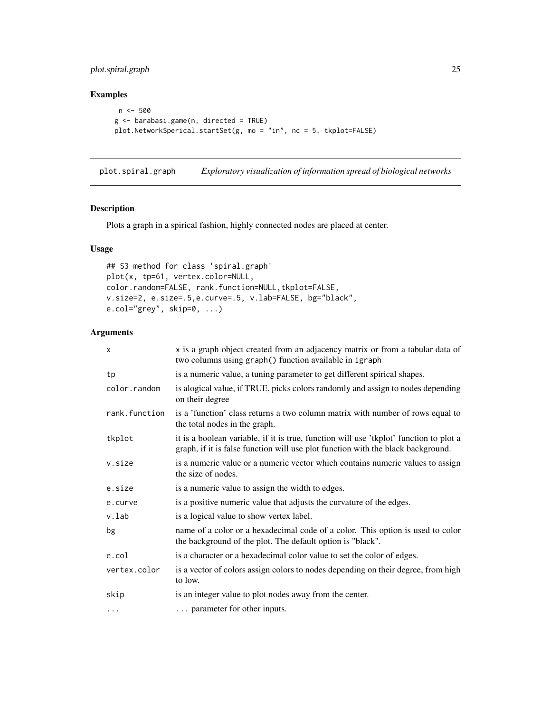#### <span id="page-24-0"></span>plot.spiral.graph 25

#### Examples

```
n <- 500
g <- barabasi.game(n, directed = TRUE)
plot.NetworkSperical.startSet(g, mo = "in", nc = 5, tkplot=FALSE)
```
plot.spiral.graph *Exploratory visualization of information spread of biological networks*

#### Description

Plots a graph in a spirical fashion, highly connected nodes are placed at center.

#### Usage

```
## S3 method for class 'spiral.graph'
plot(x, tp=61, vertex.color=NULL,
color.random=FALSE, rank.function=NULL,tkplot=FALSE,
v.size=2, e.size=.5,e.curve=.5, v.lab=FALSE, bg="black",
e.col="grey", skip=0, ...)
```

| X             | x is a graph object created from an adjacency matrix or from a tabular data of<br>two columns using graph() function available in igraph                                   |
|---------------|----------------------------------------------------------------------------------------------------------------------------------------------------------------------------|
| tp            | is a numeric value, a tuning parameter to get different spirical shapes.                                                                                                   |
| color.random  | is alogical value, if TRUE, picks colors randomly and assign to nodes depending<br>on their degree                                                                         |
| rank.function | is a 'function' class returns a two column matrix with number of rows equal to<br>the total nodes in the graph.                                                            |
| tkplot        | it is a boolean variable, if it is true, function will use 'tkplot' function to plot a<br>graph, if it is false function will use plot function with the black background. |
| v.size        | is a numeric value or a numeric vector which contains numeric values to assign<br>the size of nodes.                                                                       |
| e.size        | is a numeric value to assign the width to edges.                                                                                                                           |
| e.curve       | is a positive numeric value that adjusts the curvature of the edges.                                                                                                       |
| v.lab         | is a logical value to show vertex label.                                                                                                                                   |
| bg            | name of a color or a hexadecimal code of a color. This option is used to color<br>the background of the plot. The default option is "black".                               |
| e.col         | is a character or a hexadecimal color value to set the color of edges.                                                                                                     |
| vertex.color  | is a vector of colors assign colors to nodes depending on their degree, from high<br>to low.                                                                               |
| skip          | is an integer value to plot nodes away from the center.                                                                                                                    |
| $\cdots$      | parameter for other inputs.                                                                                                                                                |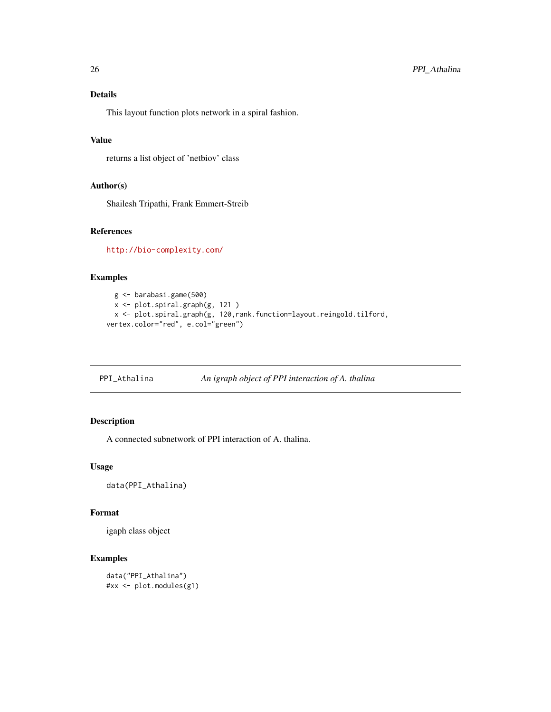#### <span id="page-25-0"></span>Details

This layout function plots network in a spiral fashion.

#### Value

returns a list object of 'netbiov' class

#### Author(s)

Shailesh Tripathi, Frank Emmert-Streib

#### References

<http://bio-complexity.com/>

#### Examples

```
g <- barabasi.game(500)
  x <- plot.spiral.graph(g, 121 )
  x <- plot.spiral.graph(g, 120,rank.function=layout.reingold.tilford,
vertex.color="red", e.col="green")
```
PPI\_Athalina *An igraph object of PPI interaction of A. thalina*

#### Description

A connected subnetwork of PPI interaction of A. thalina.

#### Usage

data(PPI\_Athalina)

#### Format

igaph class object

```
data("PPI_Athalina")
#xx <- plot.modules(g1)
```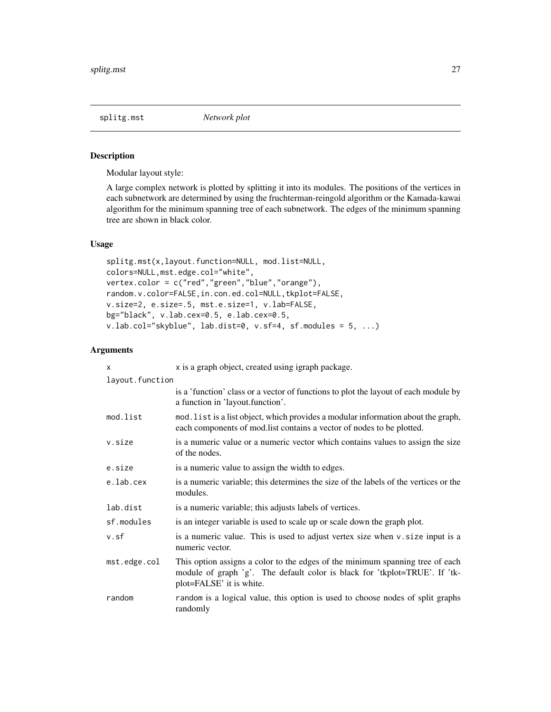<span id="page-26-0"></span>

#### Description

Modular layout style:

A large complex network is plotted by splitting it into its modules. The positions of the vertices in each subnetwork are determined by using the fruchterman-reingold algorithm or the Kamada-kawai algorithm for the minimum spanning tree of each subnetwork. The edges of the minimum spanning tree are shown in black color.

#### Usage

```
splitg.mst(x,layout.function=NULL, mod.list=NULL,
colors=NULL,mst.edge.col="white",
vertex.color = c("red","green","blue","orange"),
random.v.color=FALSE,in.con.ed.col=NULL,tkplot=FALSE,
v.size=2, e.size=.5, mst.e.size=1, v.lab=FALSE,
bg="black", v.lab.cex=0.5, e.lab.cex=0.5,
v.lab.col="skyblue", lab.dist=0, v.sf=4, sf.modules = 5, ...)
```

| $\times$        | x is a graph object, created using igraph package.                                                                                                                                      |  |
|-----------------|-----------------------------------------------------------------------------------------------------------------------------------------------------------------------------------------|--|
| layout.function |                                                                                                                                                                                         |  |
|                 | is a 'function' class or a vector of functions to plot the layout of each module by<br>a function in 'layout.function'.                                                                 |  |
| mod.list        | mod. list is a list object, which provides a modular information about the graph,<br>each components of mod.list contains a vector of nodes to be plotted.                              |  |
| v.size          | is a numeric value or a numeric vector which contains values to assign the size<br>of the nodes.                                                                                        |  |
| e.size          | is a numeric value to assign the width to edges.                                                                                                                                        |  |
| e.lab.cex       | is a numeric variable; this determines the size of the labels of the vertices or the<br>modules.                                                                                        |  |
| lab.dist        | is a numeric variable; this adjusts labels of vertices.                                                                                                                                 |  |
| sf.modules      | is an integer variable is used to scale up or scale down the graph plot.                                                                                                                |  |
| v.sf            | is a numeric value. This is used to adjust vertex size when v. size input is a<br>numeric vector.                                                                                       |  |
| mst.edge.col    | This option assigns a color to the edges of the minimum spanning tree of each<br>module of graph 'g'. The default color is black for 'tkplot=TRUE'. If 'tk-<br>plot=FALSE' it is white. |  |
| random          | random is a logical value, this option is used to choose nodes of split graphs<br>randomly                                                                                              |  |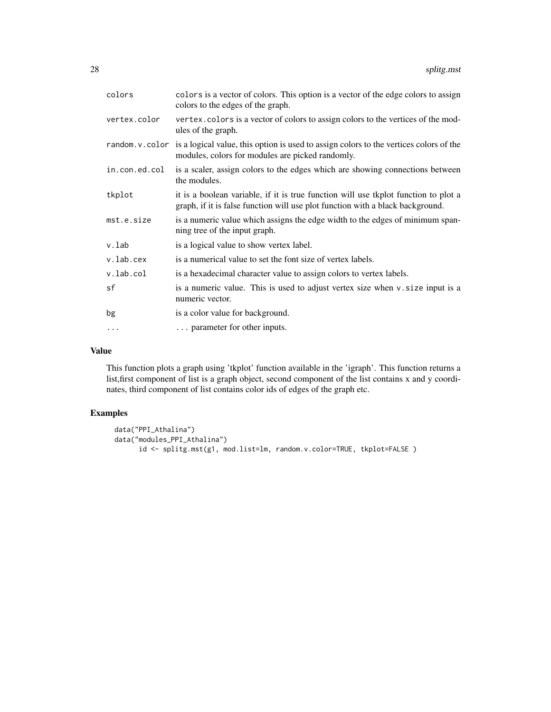| colors        | colors is a vector of colors. This option is a vector of the edge colors to assign<br>colors to the edges of the graph.                                               |
|---------------|-----------------------------------------------------------------------------------------------------------------------------------------------------------------------|
| vertex.color  | vertex.colors is a vector of colors to assign colors to the vertices of the mod-<br>ules of the graph.                                                                |
|               | random. v. color is a logical value, this option is used to assign colors to the vertices colors of the<br>modules, colors for modules are picked randomly.           |
| in.con.ed.col | is a scaler, assign colors to the edges which are showing connections between<br>the modules.                                                                         |
| tkplot        | it is a boolean variable, if it is true function will use tkplot function to plot a<br>graph, if it is false function will use plot function with a black background. |
| mst.e.size    | is a numeric value which assigns the edge width to the edges of minimum span-<br>ning tree of the input graph.                                                        |
| v.lab         | is a logical value to show vertex label.                                                                                                                              |
| v.lab.cex     | is a numerical value to set the font size of vertex labels.                                                                                                           |
| v.lab.col     | is a hexadecimal character value to assign colors to vertex labels.                                                                                                   |
| sf            | is a numeric value. This is used to adjust vertex size when v. size input is a<br>numeric vector.                                                                     |
| bg            | is a color value for background.                                                                                                                                      |
| $\ddots$      | parameter for other inputs.                                                                                                                                           |

#### Value

This function plots a graph using 'tkplot' function available in the 'igraph'. This function returns a list,first component of list is a graph object, second component of the list contains x and y coordinates, third component of list contains color ids of edges of the graph etc.

```
data("PPI_Athalina")
data("modules_PPI_Athalina")
     id <- splitg.mst(g1, mod.list=lm, random.v.color=TRUE, tkplot=FALSE )
```